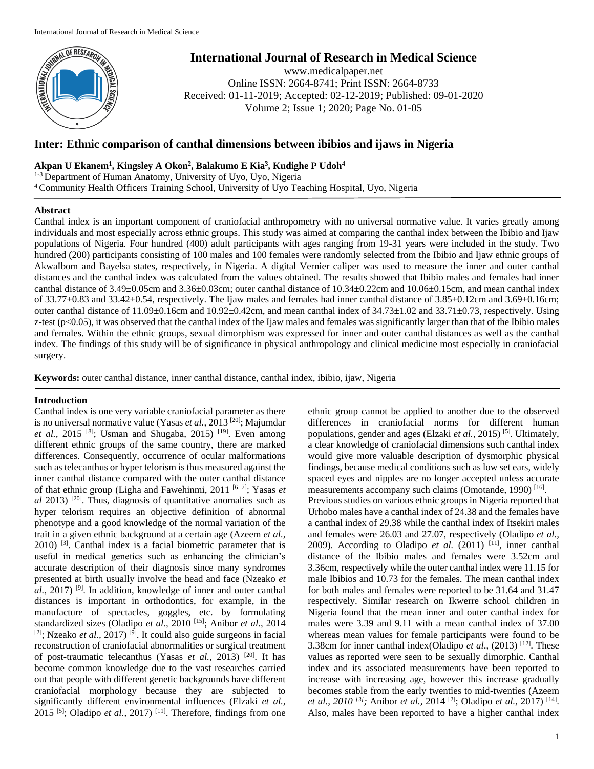

# **International Journal of Research in Medical Science**

www.medicalpaper.net Online ISSN: 2664-8741; Print ISSN: 2664-8733 Received: 01-11-2019; Accepted: 02-12-2019; Published: 09-01-2020 Volume 2; Issue 1; 2020; Page No. 01-05

## **Inter: Ethnic comparison of canthal dimensions between ibibios and ijaws in Nigeria**

### **Akpan U Ekanem<sup>1</sup> , Kingsley A Okon<sup>2</sup> , Balakumo E Kia<sup>3</sup> , Kudighe P Udoh<sup>4</sup>**

<sup>1-3</sup> Department of Human Anatomy, University of Uyo, Uyo, Nigeria <sup>4</sup>Community Health Officers Training School, University of Uyo Teaching Hospital, Uyo, Nigeria

### **Abstract**

Canthal index is an important component of craniofacial anthropometry with no universal normative value. It varies greatly among individuals and most especially across ethnic groups. This study was aimed at comparing the canthal index between the Ibibio and Ijaw populations of Nigeria. Four hundred (400) adult participants with ages ranging from 19-31 years were included in the study. Two hundred (200) participants consisting of 100 males and 100 females were randomly selected from the Ibibio and Ijaw ethnic groups of AkwaIbom and Bayelsa states, respectively, in Nigeria. A digital Vernier caliper was used to measure the inner and outer canthal distances and the canthal index was calculated from the values obtained. The results showed that Ibibio males and females had inner canthal distance of 3.49±0.05cm and 3.36±0.03cm; outer canthal distance of 10.34±0.22cm and 10.06±0.15cm, and mean canthal index of 33.77±0.83 and 33.42±0.54, respectively. The Ijaw males and females had inner canthal distance of 3.85±0.12cm and 3.69±0.16cm; outer canthal distance of 11.09±0.16cm and 10.92±0.42cm, and mean canthal index of 34.73±1.02 and 33.71±0.73, respectively. Using z-test  $(p<0.05)$ , it was observed that the canthal index of the Ijaw males and females was significantly larger than that of the Ibibio males and females. Within the ethnic groups, sexual dimorphism was expressed for inner and outer canthal distances as well as the canthal index. The findings of this study will be of significance in physical anthropology and clinical medicine most especially in craniofacial surgery.

**Keywords:** outer canthal distance, inner canthal distance, canthal index, ibibio, ijaw, Nigeria

### **Introduction**

Canthal index is one very variable craniofacial parameter as there is no universal normative value (Yasas *et al.,* 2013 [20] ; Majumdar et al., 2015<sup>[8]</sup>; Usman and Shugaba, 2015)<sup>[19]</sup>. Even among different ethnic groups of the same country, there are marked differences. Consequently, occurrence of ocular malformations such as telecanthus or hyper telorism is thus measured against the inner canthal distance compared with the outer canthal distance of that ethnic group (Ligha and Fawehinmi, 2011 [6, 7]; Yasas *et*  al 2013)<sup>[20]</sup>. Thus, diagnosis of quantitative anomalies such as hyper telorism requires an objective definition of abnormal phenotype and a good knowledge of the normal variation of the trait in a given ethnic background at a certain age (Azeem *et al.,*   $2010$ ) <sup>[3]</sup>. Canthal index is a facial biometric parameter that is useful in medical genetics such as enhancing the clinician's accurate description of their diagnosis since many syndromes presented at birth usually involve the head and face (Nzeako *et*  al., 2017)<sup>[9]</sup>. In addition, knowledge of inner and outer canthal distances is important in orthodontics, for example, in the manufacture of spectacles, goggles, etc. by formulating standardized sizes (Oladipo *et al.,* 2010 [15] ; Anibor *et al*., 2014 <sup>[2]</sup>; Nzeako *et al.*, 2017)<sup>[9]</sup>. It could also guide surgeons in facial reconstruction of craniofacial abnormalities or surgical treatment of post-traumatic telecanthus (Yasas *et al.*, 2013)<sup>[20]</sup>. It has become common knowledge due to the vast researches carried out that people with different genetic backgrounds have different craniofacial morphology because they are subjected to significantly different environmental influences (Elzaki *et al.,*   $2015$ <sup>[5]</sup>; Oladipo *et al.*,  $2017$ )<sup>[11]</sup>. Therefore, findings from one

ethnic group cannot be applied to another due to the observed differences in craniofacial norms for different human populations, gender and ages (Elzaki et al., 2015)<sup>[5]</sup>. Ultimately, a clear knowledge of craniofacial dimensions such canthal index would give more valuable description of dysmorphic physical findings, because medical conditions such as low set ears, widely spaced eyes and nipples are no longer accepted unless accurate measurements accompany such claims (Omotande, 1990)<sup>[16]</sup>.

Previous studies on various ethnic groups in Nigeria reported that Urhobo males have a canthal index of 24.38 and the females have a canthal index of 29.38 while the canthal index of Itsekiri males and females were 26.03 and 27.07, respectively (Oladipo *et al.,* 2009). According to Oladipo *et al.*  $(2011)$ <sup>[11]</sup>, inner canthal distance of the Ibibio males and females were 3.52cm and 3.36cm, respectively while the outer canthal index were 11.15 for male Ibibios and 10.73 for the females. The mean canthal index for both males and females were reported to be 31.64 and 31.47 respectively. Similar research on Ikwerre school children in Nigeria found that the mean inner and outer canthal index for males were 3.39 and 9.11 with a mean canthal index of 37.00 whereas mean values for female participants were found to be 3.38cm for inner canthal index(Oladipo *et al.*,  $(2013)$ <sup>[12]</sup>. These values as reported were seen to be sexually dimorphic. Canthal index and its associated measurements have been reported to increase with increasing age, however this increase gradually becomes stable from the early twenties to mid-twenties (Azeem *et al., 2010* <sup>[3]</sup>; Anibor *et al., 2014* <sup>[2]</sup>; Oladipo *et al., 2017*) <sup>[14]</sup>. Also, males have been reported to have a higher canthal index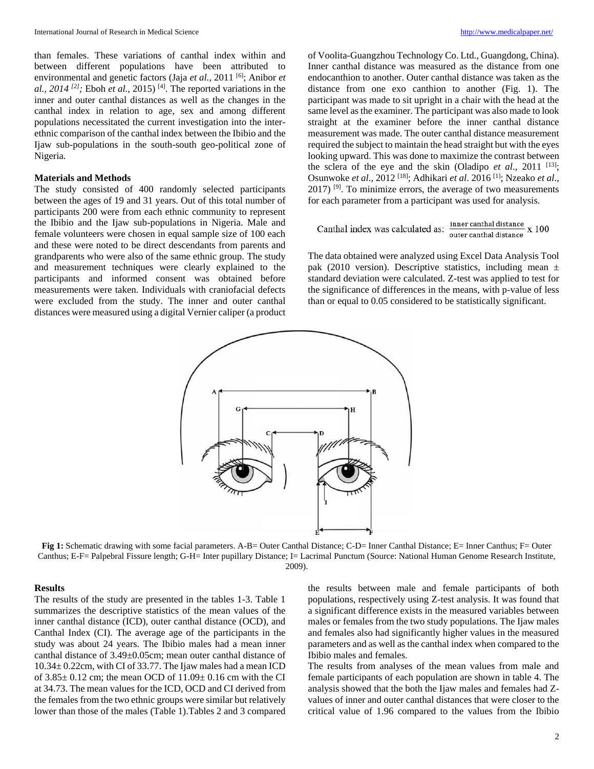than females. These variations of canthal index within and between different populations have been attributed to environmental and genetic factors (Jaja et al., 2011<sup>[6]</sup>; Anibor et al.,  $2014^{2}$ ; Eboh *et al.*,  $2015$ )<sup>[4]</sup>. The reported variations in the inner and outer canthal distances as well as the changes in the canthal index in relation to age, sex and among different populations necessitated the current investigation into the interethnic comparison of the canthal index between the Ibibio and the Ijaw sub-populations in the south-south geo-political zone of Nigeria.

#### **Materials and Methods**

The study consisted of 400 randomly selected participants between the ages of 19 and 31 years. Out of this total number of participants 200 were from each ethnic community to represent the Ibibio and the Ijaw sub-populations in Nigeria. Male and female volunteers were chosen in equal sample size of 100 each and these were noted to be direct descendants from parents and grandparents who were also of the same ethnic group. The study and measurement techniques were clearly explained to the participants and informed consent was obtained before measurements were taken. Individuals with craniofacial defects were excluded from the study. The inner and outer canthal distances were measured using a digital Vernier caliper (a product

of Voolita-Guangzhou Technology Co. Ltd., Guangdong, China). Inner canthal distance was measured as the distance from one endocanthion to another. Outer canthal distance was taken as the distance from one exo canthion to another (Fig. 1). The participant was made to sit upright in a chair with the head at the same level as the examiner. The participant was also made to look straight at the examiner before the inner canthal distance measurement was made. The outer canthal distance measurement required the subject to maintain the head straight but with the eyes looking upward. This was done to maximize the contrast between the sclera of the eye and the skin (Oladipo *et al.*, 2011<sup>[13]</sup>; Osunwoke *et al*., 2012 [18] ; Adhikari *et al*. 2016 [1] ; Nzeako *et al*.,  $2017$ ) <sup>[9]</sup>. To minimize errors, the average of two measurements for each parameter from a participant was used for analysis.

Canthal index was calculated as:  $\frac{\text{inner cathal distance}}{\text{outer cathal distance}}$  x 100

The data obtained were analyzed using Excel Data Analysis Tool pak (2010 version). Descriptive statistics, including mean  $\pm$ standard deviation were calculated. Z-test was applied to test for the significance of differences in the means, with p-value of less than or equal to 0.05 considered to be statistically significant.



**Fig 1:** Schematic drawing with some facial parameters. A-B= Outer Canthal Distance; C-D= Inner Canthal Distance; E= Inner Canthus; F= Outer Canthus; E-F= Palpebral Fissure length; G-H= Inter pupillary Distance; I= Lacrimal Punctum (Source: National Human Genome Research Institute, 2009).

### **Results**

The results of the study are presented in the tables 1-3. Table 1 summarizes the descriptive statistics of the mean values of the inner canthal distance (ICD), outer canthal distance (OCD), and Canthal Index (CI). The average age of the participants in the study was about 24 years. The Ibibio males had a mean inner canthal distance of 3.49±0.05cm; mean outer canthal distance of 10.34± 0.22cm, with CI of 33.77. The Ijaw males had a mean ICD of  $3.85 \pm 0.12$  cm; the mean OCD of  $11.09 \pm 0.16$  cm with the CI at 34.73. The mean values for the ICD, OCD and CI derived from the females from the two ethnic groups were similar but relatively lower than those of the males (Table 1).Tables 2 and 3 compared

the results between male and female participants of both populations, respectively using Z-test analysis. It was found that a significant difference exists in the measured variables between males or females from the two study populations. The Ijaw males and females also had significantly higher values in the measured parameters and as well as the canthal index when compared to the Ibibio males and females.

The results from analyses of the mean values from male and female participants of each population are shown in table 4. The analysis showed that the both the Ijaw males and females had Zvalues of inner and outer canthal distances that were closer to the critical value of 1.96 compared to the values from the Ibibio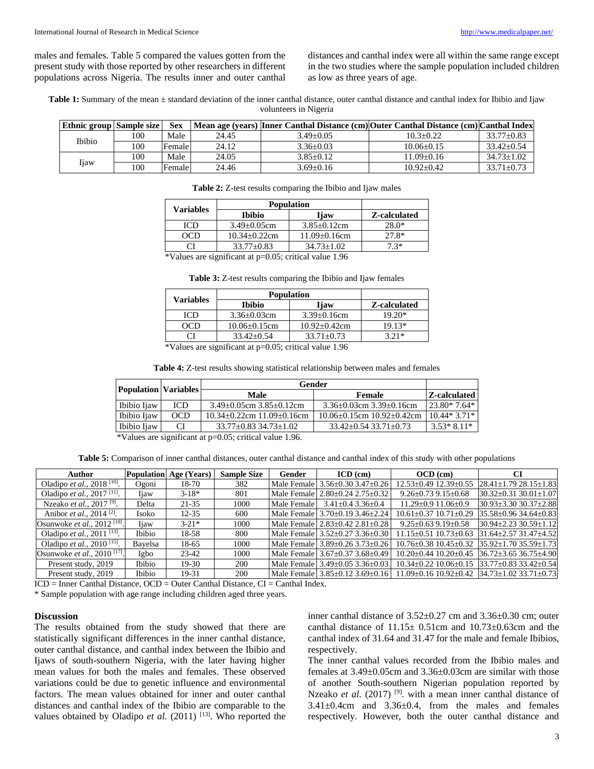males and females. Table 5 compared the values gotten from the present study with those reported by other researchers in different populations across Nigeria. The results inner and outer canthal

distances and canthal index were all within the same range except in the two studies where the sample population included children as low as three years of age.

Table 1: Summary of the mean  $\pm$  standard deviation of the inner canthal distance, outer canthal distance and canthal index for Ibibio and Ijaw volunteers in Nigeria

| Ethnic group Sample size |     | <b>Sex</b> |       |                 | Mean age (years) Inner Canthal Distance (cm) Outer Canthal Distance (cm) Canthal Index |                  |
|--------------------------|-----|------------|-------|-----------------|----------------------------------------------------------------------------------------|------------------|
| Ibibio                   | 100 | Male       | 24.45 | $3.49 + 0.05$   | $10.3 + 0.22$                                                                          | $33.77+0.83$     |
|                          | 100 | Female     | 24.12 | $3.36 + 0.03$   | $10.06 + 0.15$                                                                         | $33.42 + 0.54$   |
| Ijaw                     | 100 | Male       | 24.05 | $3.85 + 0.12$   | 11.09+0.16                                                                             | $34.73 + 1.02$   |
|                          | 100 | Female     | 24.46 | $3.69 \pm 0.16$ | $10.92 + 0.42$                                                                         | $33.71 \pm 0.73$ |

| <b>Table 2:</b> Z-test results comparing the Ibibio and Ijaw males |  |
|--------------------------------------------------------------------|--|
|--------------------------------------------------------------------|--|

| Ibibio              | Ijaw                | Z-calculated      |  |
|---------------------|---------------------|-------------------|--|
| $3.49 \pm 0.05$ cm  | $3.85 \pm 0.12$ cm  | $28.0*$           |  |
| $10.34 \pm 0.22$ cm | $11.09 \pm 0.16$ cm | $27.8*$           |  |
| $33.77+0.83$        | $34.73 + 1.02$      | $7.3*$            |  |
|                     |                     | <b>Population</b> |  |

\*Values are significant at p=0.05; critical value 1.96

| Table 3: Z-test results comparing the Ibibio and Ijaw females |  |  |
|---------------------------------------------------------------|--|--|
|                                                               |  |  |

| <b>Variables</b> | <b>Population</b>   |                   |              |
|------------------|---------------------|-------------------|--------------|
|                  | <b>Ibibio</b>       | <b>I</b> jaw      | Z-calculated |
| ICD              | $3.36 + 0.03$ cm    | $3.39+0.16$ cm    | $19.20*$     |
| רו אר            | $10.06 \pm 0.15$ cm | $10.92 + 0.42$ cm | $19.13*$     |
|                  | $33.42 + 0.54$      | $33.71 + 0.73$    | 3 21*        |
| $\sim$<br>.      | $-$<br>-- - -       | .                 |              |

\*Values are significant at p=0.05; critical value 1.96

**Table 4:** Z-test results showing statistical relationship between males and females

|             | <b>Population Variables</b> | Gender                                  |                                     |               |  |
|-------------|-----------------------------|-----------------------------------------|-------------------------------------|---------------|--|
|             |                             | Male                                    | Female                              | Z-calculated  |  |
| Ibibio Ijaw | ICD                         | $3.49\pm0.05$ cm $3.85\pm0.12$ cm       | $3.36\pm0.03$ cm $3.39\pm0.16$ cm   | $23.80*7.64*$ |  |
| Ibibio Ijaw | <b>OCD</b>                  | $10.34 \pm 0.22$ cm $11.09 \pm 0.16$ cm | $10.06\pm0.15$ cm $10.92\pm0.42$ cm | $10.44*3.71*$ |  |
| Ibibio Ijaw | CI                          | $33.77 \pm 0.83$ $34.73 \pm 1.02$       | $33.42 + 0.54$ $33.71 + 0.73$       | $3.53*8.11*$  |  |
|             |                             |                                         |                                     |               |  |

\*Values are significant at p=0.05; critical value 1.96.

Table 5: Comparison of inner canthal distances, outer canthal distance and canthal index of this study with other populations

| Author                                       |               | <b>Population</b> Age (Years) | <b>Sample Size</b> | Gender      | $ICD$ (cm)                      | $OCD$ (cm)                                                           |                                |
|----------------------------------------------|---------------|-------------------------------|--------------------|-------------|---------------------------------|----------------------------------------------------------------------|--------------------------------|
| Oladipo et al., 2018 <sup>[10]</sup> .       | Ogoni         | 18-70                         | 382                |             | Male Female 3.56±0.30 3.47±0.26 | $12.53 \pm 0.49$ $12.39 \pm 0.55$                                    | $28.41 \pm 1.7928.15 \pm 1.83$ |
| Oladipo et al., 2017 <sup>[11]</sup> .       | Iiaw          | $3-18*$                       | 801                |             | Male Female 2.80±0.24 2.75±0.32 | $9.26 \pm 0.73$ $9.15 \pm 0.68$                                      | 30.32±0.31 30.01±1.07          |
| Nzeako et al., 2017 <sup>[9]</sup> .         | Delta         | $21 - 35$                     | 1000               | Male Female | $3.41 \pm 0.4$ 3.36 $\pm$ 0.4   | $11.29 \pm 0.911.06 \pm 0.9$                                         | $30.93 \pm 3.3030.37 \pm 2.88$ |
| Anibor <i>et al.</i> , 2014 <sup>[2]</sup> . | Isoko         | $12 - 35$                     | 600                |             | Male Female 3.70±0.19 3.46±2.24 | $10.61 + 0.37$ $10.71 + 0.29$                                        | $35.58 \pm 0.9634.64 \pm 0.83$ |
| Osunwoke et al., 2012 <sup>[18]</sup> .      | Iiaw          | $3 - 21*$                     | 1000               |             | Male Female 2.83±0.42 2.81±0.28 | $9.25 \pm 0.63$ $9.19 \pm 0.58$                                      | $30.94 \pm 2.2330.59 \pm 1.12$ |
| Oladipo et al., 2011 <sup>[13]</sup> .       | Ibibio        | 18-58                         | 800                |             | Male Female 3.52±0.27 3.36±0.30 | $11.15 \pm 0.51$ $10.73 \pm 0.63$                                    | $31.64 \pm 2.5731.47 \pm 4.52$ |
| Oladipo et al., 2010 <sup>[15]</sup> .       | Bavelsa       | 18-65                         | 1000               |             | Male Female 3.89±0.26 3.73±0.26 | $10.76 \pm 0.38$ $10.45 \pm 0.32$                                    | $35.92 \pm 1.7035.59 \pm 1.73$ |
| Osunwoke et al., 2010 <sup>[17]</sup> .      | Igbo          | $23 - 42$                     | 1000               |             | Male Female 3.67±0.37 3.68±0.49 | $10.20 \pm 0.44$ $10.20 \pm 0.45$ $ 36.72 \pm 3.65$ $36.75 \pm 4.90$ |                                |
| Present study, 2019                          | <b>Ibibio</b> | $19-30$                       | <b>200</b>         |             | Male Female 3.49±0.05 3.36±0.03 | $10.34 \pm 0.22$ $10.06 \pm 0.15$ $ 33.77 \pm 0.83$ $33.42 \pm 0.54$ |                                |
| Present study, 2019                          | <b>Ibibio</b> | 19-31                         | <b>200</b>         |             | Male Female 3.85±0.12 3.69±0.16 | $11.09 \pm 0.16$ $10.92 \pm 0.42$ $ 34.73 \pm 1.02$ $33.71 \pm 0.73$ |                                |

 $ICD = Inner Canthal Distance, OCD = Outer Canthal Distance, CI = Canthal Index.$ 

\* Sample population with age range including children aged three years.

### **Discussion**

The results obtained from the study showed that there are statistically significant differences in the inner canthal distance, outer canthal distance, and canthal index between the Ibibio and Ijaws of south-southern Nigeria, with the later having higher mean values for both the males and females. These observed variations could be due to genetic influence and environmental factors. The mean values obtained for inner and outer canthal distances and canthal index of the Ibibio are comparable to the values obtained by Oladipo *et al.* (2011) <sup>[13]</sup>. Who reported the inner canthal distance of 3.52±0.27 cm and 3.36±0.30 cm; outer canthal distance of 11.15± 0.51cm and 10.73±0.63cm and the canthal index of 31.64 and 31.47 for the male and female Ibibios, respectively.

The inner canthal values recorded from the Ibibio males and females at 3.49±0.05cm and 3.36±0.03cm are similar with those of another South-southern Nigerian population reported by Nzeako *et al.* (2017)<sup>[9]</sup>. with a mean inner canthal distance of  $3.41\pm0.4$ cm and  $3.36\pm0.4$ , from the males and females respectively. However, both the outer canthal distance and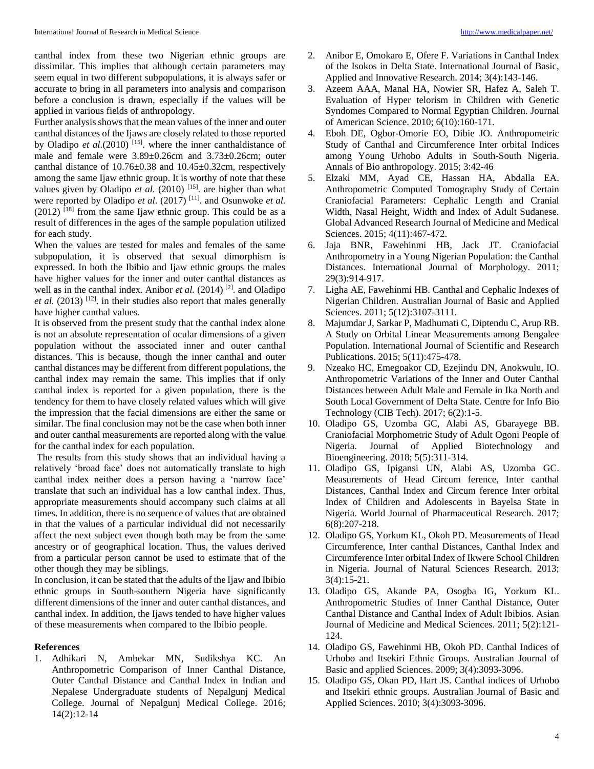canthal index from these two Nigerian ethnic groups are dissimilar. This implies that although certain parameters may seem equal in two different subpopulations, it is always safer or accurate to bring in all parameters into analysis and comparison before a conclusion is drawn, especially if the values will be applied in various fields of anthropology.

Further analysis shows that the mean values of the inner and outer canthal distances of the Ijaws are closely related to those reported by Oladipo *et al.*(2010)<sup>[15]</sup>. where the inner canthaldistance of male and female were 3.89±0.26cm and 3.73±0.26cm; outer canthal distance of 10.76±0.38 and 10.45±0.32cm, respectively among the same Ijaw ethnic group. It is worthy of note that these values given by Oladipo *et al.* (2010)<sup>[15]</sup>. are higher than what were reported by Oladipo *et al*. (2017) [11] . and Osunwoke *et al.*  $(2012)$  <sup>[18]</sup> from the same Ijaw ethnic group. This could be as a result of differences in the ages of the sample population utilized for each study.

When the values are tested for males and females of the same subpopulation, it is observed that sexual dimorphism is expressed. In both the Ibibio and Ijaw ethnic groups the males have higher values for the inner and outer canthal distances as well as in the canthal index. Anibor *et al.* (2014)<sup>[2]</sup>, and Oladipo *et al.* (2013) <sup>[12]</sup>. in their studies also report that males generally have higher canthal values.

It is observed from the present study that the canthal index alone is not an absolute representation of ocular dimensions of a given population without the associated inner and outer canthal distances. This is because, though the inner canthal and outer canthal distances may be different from different populations, the canthal index may remain the same. This implies that if only canthal index is reported for a given population, there is the tendency for them to have closely related values which will give the impression that the facial dimensions are either the same or similar. The final conclusion may not be the case when both inner and outer canthal measurements are reported along with the value for the canthal index for each population.

The results from this study shows that an individual having a relatively 'broad face' does not automatically translate to high canthal index neither does a person having a 'narrow face' translate that such an individual has a low canthal index. Thus, appropriate measurements should accompany such claims at all times. In addition, there is no sequence of values that are obtained in that the values of a particular individual did not necessarily affect the next subject even though both may be from the same ancestry or of geographical location. Thus, the values derived from a particular person cannot be used to estimate that of the other though they may be siblings.

In conclusion, it can be stated that the adults of the Ijaw and Ibibio ethnic groups in South-southern Nigeria have significantly different dimensions of the inner and outer canthal distances, and canthal index. In addition, the Ijaws tended to have higher values of these measurements when compared to the Ibibio people.

#### **References**

1. Adhikari N, Ambekar MN, Sudikshya KC. An Anthropometric Comparison of Inner Canthal Distance, Outer Canthal Distance and Canthal Index in Indian and Nepalese Undergraduate students of Nepalgunj Medical College. Journal of Nepalgunj Medical College. 2016; 14(2):12-14

- 2. Anibor E, Omokaro E, Ofere F. Variations in Canthal Index of the Isokos in Delta State. International Journal of Basic, Applied and Innovative Research. 2014; 3(4):143-146.
- 3. Azeem AAA, Manal HA, Nowier SR, Hafez A, Saleh T. Evaluation of Hyper telorism in Children with Genetic Syndomes Compared to Normal Egyptian Children. Journal of American Science. 2010; 6(10):160-171.
- 4. Eboh DE, Ogbor-Omorie EO, Dibie JO. Anthropometric Study of Canthal and Circumference Inter orbital Indices among Young Urhobo Adults in South-South Nigeria. Annals of Bio anthropology. 2015; 3:42-46
- 5. Elzaki MM, Ayad CE, Hassan HA, Abdalla EA. Anthropometric Computed Tomography Study of Certain Craniofacial Parameters: Cephalic Length and Cranial Width, Nasal Height, Width and Index of Adult Sudanese. Global Advanced Research Journal of Medicine and Medical Sciences. 2015; 4(11):467-472.
- 6. Jaja BNR, Fawehinmi HB, Jack JT. Craniofacial Anthropometry in a Young Nigerian Population: the Canthal Distances. International Journal of Morphology. 2011; 29(3):914-917.
- 7. Ligha AE, Fawehinmi HB. Canthal and Cephalic Indexes of Nigerian Children. Australian Journal of Basic and Applied Sciences. 2011; 5(12):3107-3111.
- 8. Majumdar J, Sarkar P, Madhumati C, Diptendu C, Arup RB. A Study on Orbital Linear Measurements among Bengalee Population. International Journal of Scientific and Research Publications. 2015; 5(11):475-478.
- 9. Nzeako HC, Emegoakor CD, Ezejindu DN, Anokwulu, IO. Anthropometric Variations of the Inner and Outer Canthal Distances between Adult Male and Female in Ika North and South Local Government of Delta State. Centre for Info Bio Technology (CIB Tech). 2017; 6(2):1-5.
- 10. Oladipo GS, Uzomba GC, Alabi AS, Gbarayege BB. Craniofacial Morphometric Study of Adult Ogoni People of Nigeria. Journal of Applied Biotechnology and Bioengineering. 2018; 5(5):311-314.
- 11. Oladipo GS, Ipigansi UN, Alabi AS, Uzomba GC. Measurements of Head Circum ference, Inter canthal Distances, Canthal Index and Circum ference Inter orbital Index of Children and Adolescents in Bayelsa State in Nigeria. World Journal of Pharmaceutical Research. 2017; 6(8):207-218.
- 12. Oladipo GS, Yorkum KL, Okoh PD. Measurements of Head Circumference, Inter canthal Distances, Canthal Index and Circumference Inter orbital Index of Ikwere School Children in Nigeria. Journal of Natural Sciences Research. 2013; 3(4):15-21.
- 13. Oladipo GS, Akande PA, Osogba IG, Yorkum KL. Anthropometric Studies of Inner Canthal Distance, Outer Canthal Distance and Canthal Index of Adult Ibibios. Asian Journal of Medicine and Medical Sciences. 2011; 5(2):121- 124.
- 14. Oladipo GS, Fawehinmi HB, Okoh PD. Canthal Indices of Urhobo and Itsekiri Ethnic Groups. Australian Journal of Basic and applied Sciences. 2009; 3(4):3093-3096.
- 15. Oladipo GS, Okan PD, Hart JS. Canthal indices of Urhobo and Itsekiri ethnic groups. Australian Journal of Basic and Applied Sciences. 2010; 3(4):3093-3096.